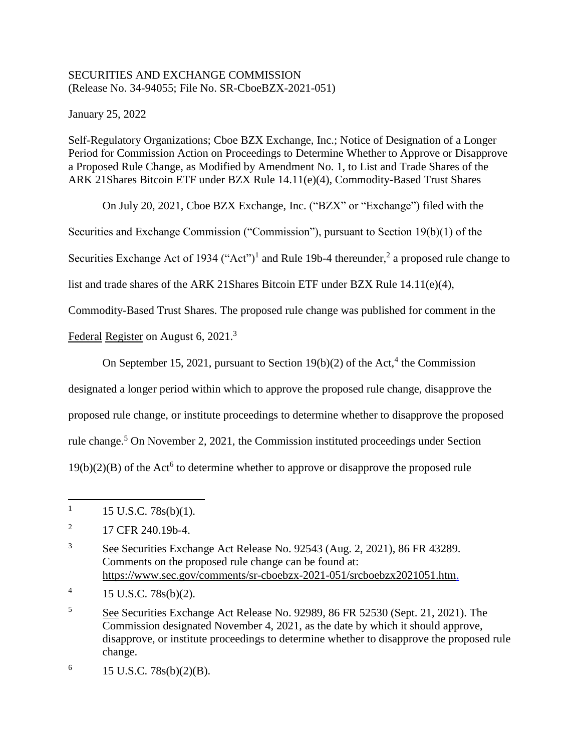## SECURITIES AND EXCHANGE COMMISSION (Release No. 34-94055; File No. SR-CboeBZX-2021-051)

January 25, 2022

Self-Regulatory Organizations; Cboe BZX Exchange, Inc.; Notice of Designation of a Longer Period for Commission Action on Proceedings to Determine Whether to Approve or Disapprove a Proposed Rule Change, as Modified by Amendment No. 1, to List and Trade Shares of the ARK 21Shares Bitcoin ETF under BZX Rule 14.11(e)(4), Commodity-Based Trust Shares

On July 20, 2021, Cboe BZX Exchange, Inc. ("BZX" or "Exchange") filed with the

Securities and Exchange Commission ("Commission"), pursuant to Section 19(b)(1) of the

Securities Exchange Act of 1934 ("Act")<sup>1</sup> and Rule 19b-4 thereunder,<sup>2</sup> a proposed rule change to

list and trade shares of the ARK 21Shares Bitcoin ETF under BZX Rule 14.11(e)(4),

Commodity-Based Trust Shares. The proposed rule change was published for comment in the

Federal Register on August 6, 2021.<sup>3</sup>

On September 15, 2021, pursuant to Section  $19(b)(2)$  of the Act,<sup>4</sup> the Commission

designated a longer period within which to approve the proposed rule change, disapprove the

proposed rule change, or institute proceedings to determine whether to disapprove the proposed

rule change.<sup>5</sup> On November 2, 2021, the Commission instituted proceedings under Section

 $19(b)(2)(B)$  of the Act<sup>6</sup> to determine whether to approve or disapprove the proposed rule

 $\overline{\phantom{a}}$ 1 15 U.S.C. 78s(b)(1).

<sup>2</sup> 17 CFR 240.19b-4.

<sup>3</sup> See Securities Exchange Act Release No. 92543 (Aug. 2, 2021), 86 FR 43289. Comments on the proposed rule change can be found at: https://www.sec.gov/comments/sr-cboebzx-2021-051/srcboebzx2021051.htm.

<sup>4</sup> 15 U.S.C. 78s(b)(2).

<sup>5</sup> See Securities Exchange Act Release No. 92989, 86 FR 52530 (Sept. 21, 2021). The Commission designated November 4, 2021, as the date by which it should approve, disapprove, or institute proceedings to determine whether to disapprove the proposed rule change.

<sup>6</sup> 15 U.S.C. 78s(b)(2)(B).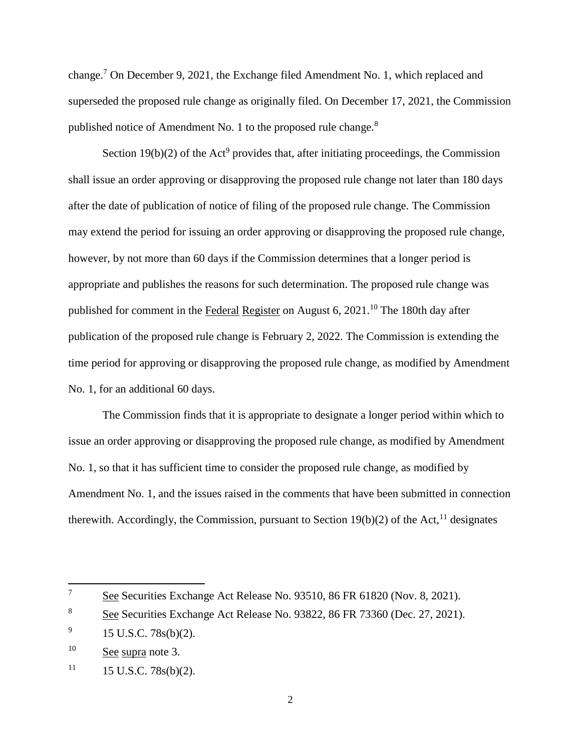change.<sup>7</sup> On December 9, 2021, the Exchange filed Amendment No. 1, which replaced and superseded the proposed rule change as originally filed. On December 17, 2021, the Commission published notice of Amendment No. 1 to the proposed rule change.<sup>8</sup>

Section  $19(b)(2)$  of the Act<sup>9</sup> provides that, after initiating proceedings, the Commission shall issue an order approving or disapproving the proposed rule change not later than 180 days after the date of publication of notice of filing of the proposed rule change. The Commission may extend the period for issuing an order approving or disapproving the proposed rule change, however, by not more than 60 days if the Commission determines that a longer period is appropriate and publishes the reasons for such determination. The proposed rule change was published for comment in the Federal Register on August 6, 2021.<sup>10</sup> The 180th day after publication of the proposed rule change is February 2, 2022. The Commission is extending the time period for approving or disapproving the proposed rule change, as modified by Amendment No. 1, for an additional 60 days.

The Commission finds that it is appropriate to designate a longer period within which to issue an order approving or disapproving the proposed rule change, as modified by Amendment No. 1, so that it has sufficient time to consider the proposed rule change, as modified by Amendment No. 1, and the issues raised in the comments that have been submitted in connection therewith. Accordingly, the Commission, pursuant to Section 19(b)(2) of the Act,  $^{11}$  designates

 $\overline{\phantom{a}}$ 

<sup>&</sup>lt;sup>7</sup> See Securities Exchange Act Release No. 93510, 86 FR 61820 (Nov. 8, 2021).

<sup>&</sup>lt;sup>8</sup> See Securities Exchange Act Release No. 93822, 86 FR 73360 (Dec. 27, 2021).

<sup>9</sup> 15 U.S.C. 78s(b)(2).

<sup>&</sup>lt;sup>10</sup> See supra note 3.

 $11$  15 U.S.C. 78s(b)(2).